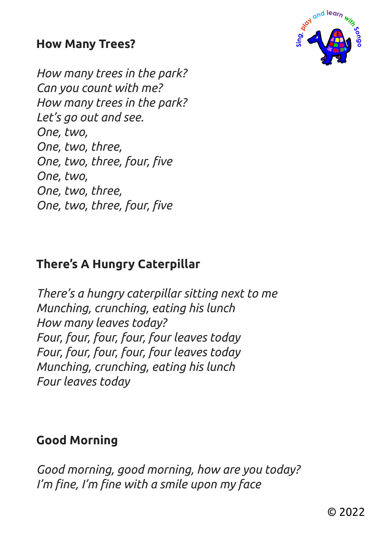#### **How Many Trees?**

*How many trees in the park? Can you count with me? How many trees in the park? Let's go out and see. One, two, One, two, three, One, two, three, four, five One, two, One, two, three, One, two, three, four, five* 

# **There's A Hungry Caterpillar**

*There's a hungry caterpillar sitting next to me Munching, crunching, eating his lunch How many leaves today? Four, four, four, four, four leaves today Four, four, four, four, four leaves today Munching, crunching, eating his lunch Four leaves today* 

### **Good Morning**

*Good morning, good morning, how are you today? I'm fine, I'm fine with a smile upon my face*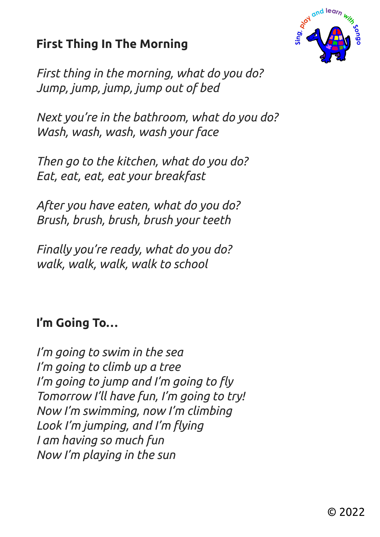# **First Thing In The Morning**



*First thing in the morning, what do you do? Jump, jump, jump, jump out of bed*

*Next you're in the bathroom, what do you do? Wash, wash, wash, wash your face*

*Then go to the kitchen, what do you do? Eat, eat, eat, eat your breakfast*

*After you have eaten, what do you do? Brush, brush, brush, brush your teeth*

*Finally you're ready, what do you do? walk, walk, walk, walk to school* 

# **I'm Going To…**

*I'm going to swim in the sea I'm going to climb up a tree I'm going to jump and I'm going to fly Tomorrow I'll have fun, I'm going to try! Now I'm swimming, now I'm climbing Look I'm jumping, and I'm flying I am having so much fun Now I'm playing in the sun*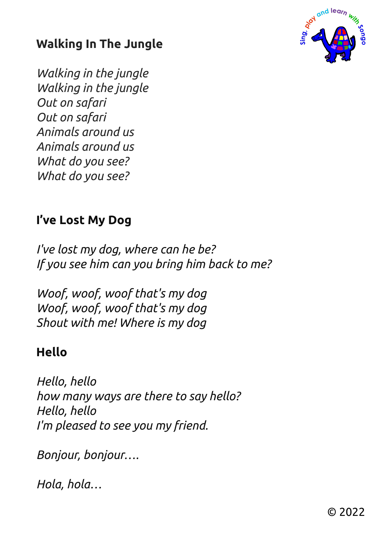

# **Walking In The Jungle**

*Walking in the jungle Walking in the jungle Out on safari Out on safari Animals around us Animals around us What do you see? What do you see?* 

## **I've Lost My Dog**

*I've lost my dog, where can he be? If you see him can you bring him back to me?* 

*Woof, woof, woof that's my dog Woof, woof, woof that's my dog Shout with me! Where is my dog* 

### **Hello**

*Hello, hello how many ways are there to say hello? Hello, hello I'm pleased to see you my friend.* 

*Bonjour, bonjour….* 

*Hola, hola…*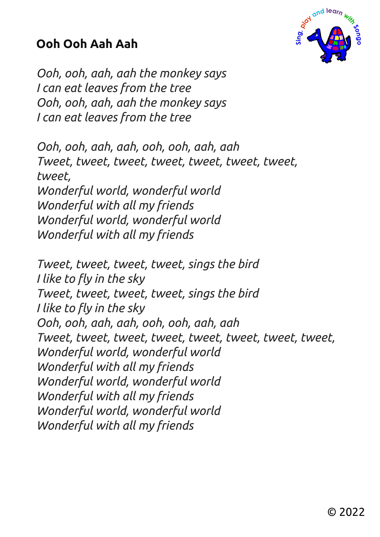## **Ooh Ooh Aah Aah**



*Ooh, ooh, aah, aah the monkey says I can eat leaves from the tree Ooh, ooh, aah, aah the monkey says I can eat leaves from the tree* 

*Ooh, ooh, aah, aah, ooh, ooh, aah, aah Tweet, tweet, tweet, tweet, tweet, tweet, tweet, tweet, Wonderful world, wonderful world Wonderful with all my friends Wonderful world, wonderful world Wonderful with all my friends* 

*Tweet, tweet, tweet, tweet, sings the bird I like to fly in the sky Tweet, tweet, tweet, tweet, sings the bird I like to fly in the sky Ooh, ooh, aah, aah, ooh, ooh, aah, aah Tweet, tweet, tweet, tweet, tweet, tweet, tweet, tweet, Wonderful world, wonderful world Wonderful with all my friends Wonderful world, wonderful world Wonderful with all my friends Wonderful world, wonderful world Wonderful with all my friends*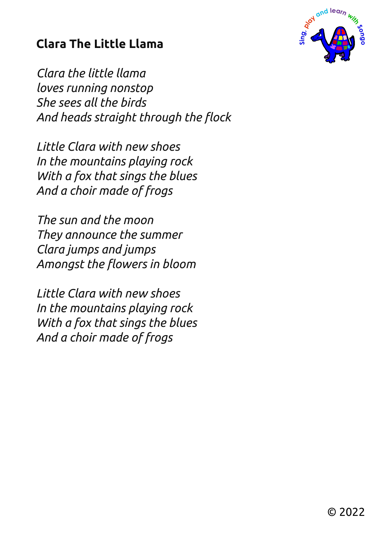# **Clara The Little Llama**

*Clara the little llama loves running nonstop She sees all the birds And heads straight through the flock* 

*Little Clara with new shoes In the mountains playing rock With a fox that sings the blues And a choir made of frogs* 

*The sun and the moon They announce the summer Clara jumps and jumps Amongst the flowers in bloom* 

*Little Clara with new shoes In the mountains playing rock With a fox that sings the blues And a choir made of frogs* 

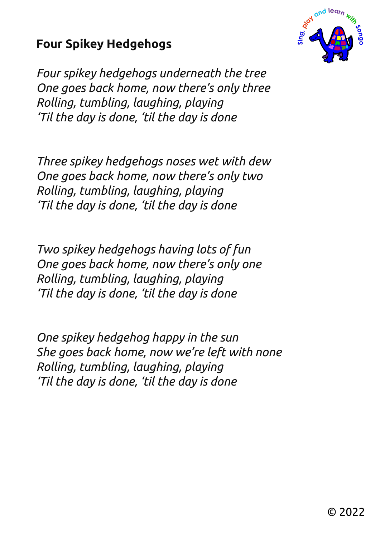## **Four Spikey Hedgehogs**

*Four spikey hedgehogs underneath the tree One goes back home, now there's only three Rolling, tumbling, laughing, playing 'Til the day is done, 'til the day is done* 

*Three spikey hedgehogs noses wet with dew One goes back home, now there's only two Rolling, tumbling, laughing, playing 'Til the day is done, 'til the day is done* 

*Two spikey hedgehogs having lots of fun One goes back home, now there's only one Rolling, tumbling, laughing, playing 'Til the day is done, 'til the day is done* 

*One spikey hedgehog happy in the sun She goes back home, now we're left with none Rolling, tumbling, laughing, playing 'Til the day is done, 'til the day is done* 

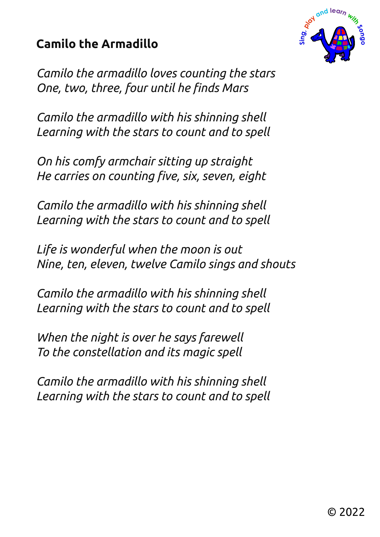# **Camilo the Armadillo**



*Camilo the armadillo loves counting the stars One, two, three, four until he finds Mars* 

*Camilo the armadillo with his shinning shell Learning with the stars to count and to spell* 

*On his comfy armchair sitting up straight He carries on counting five, six, seven, eight* 

*Camilo the armadillo with his shinning shell Learning with the stars to count and to spell* 

*Life is wonderful when the moon is out Nine, ten, eleven, twelve Camilo sings and shouts* 

*Camilo the armadillo with his shinning shell Learning with the stars to count and to spell* 

*When the night is over he says farewell To the constellation and its magic spell* 

*Camilo the armadillo with his shinning shell Learning with the stars to count and to spell*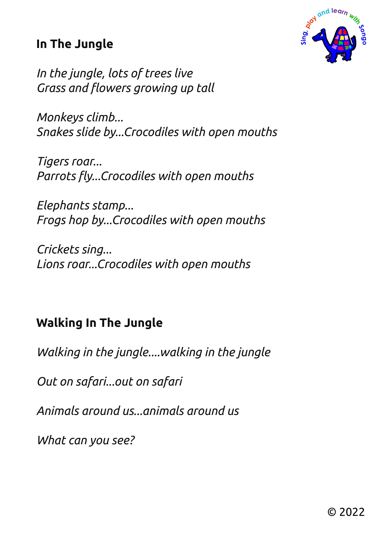## **In The Jungle**



*In the jungle, lots of trees live Grass and flowers growing up tall* 

*Monkeys climb... Snakes slide by...Crocodiles with open mouths* 

*Tigers roar... Parrots fly...Crocodiles with open mouths* 

*Elephants stamp... Frogs hop by...Crocodiles with open mouths* 

*Crickets sing... Lions roar...Crocodiles with open mouths* 

## **Walking In The Jungle**

*Walking in the jungle....walking in the jungle* 

*Out on safari...out on safari* 

*Animals around us...animals around us* 

*What can you see?*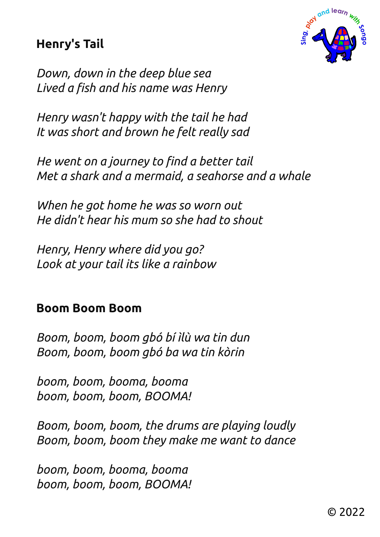## **Henry's Tail**



*Down, down in the deep blue sea Lived a fish and his name was Henry* 

*Henry wasn't happy with the tail he had It was short and brown he felt really sad* 

*He went on a journey to find a better tail Met a shark and a mermaid, a seahorse and a whale* 

*When he got home he was so worn out He didn't hear his mum so she had to shout* 

*Henry, Henry where did you go? Look at your tail its like a rainbow* 

#### **Boom Boom Boom**

*Boom, boom, boom gbó bí ìlù wa tin dun Boom, boom, boom gbó ba wa tin kòrin* 

*boom, boom, booma, booma boom, boom, boom, BOOMA!* 

*Boom, boom, boom, the drums are playing loudly Boom, boom, boom they make me want to dance* 

*boom, boom, booma, booma boom, boom, boom, BOOMA!*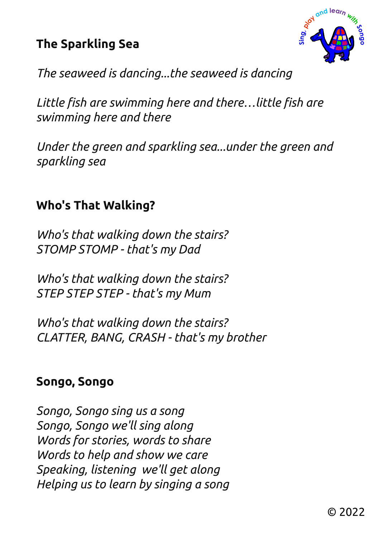## **The Sparkling Sea**



*The seaweed is dancing...the seaweed is dancing* 

*Little fish are swimming here and there…little fish are swimming here and there* 

*Under the green and sparkling sea...under the green and sparkling sea* 

### **Who's That Walking?**

*Who's that walking down the stairs? STOMP STOMP - that's my Dad* 

*Who's that walking down the stairs? STEP STEP STEP - that's my Mum* 

*Who's that walking down the stairs? CLATTER, BANG, CRASH - that's my brother* 

#### **Songo, Songo**

*Songo, Songo sing us a song Songo, Songo we'll sing along Words for stories, words to share Words to help and show we care Speaking, listening we'll get along Helping us to learn by singing a song*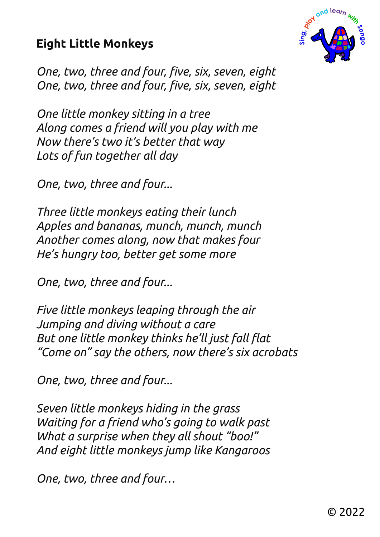# **Eight Little Monkeys**



*One, two, three and four, five, six, seven, eight One, two, three and four, five, six, seven, eight* 

*One little monkey sitting in a tree Along comes a friend will you play with me Now there's two it's better that way Lots of fun together all day* 

*One, two, three and four...* 

*Three little monkeys eating their lunch Apples and bananas, munch, munch, munch Another comes along, now that makes four He's hungry too, better get some more* 

*One, two, three and four...* 

*Five little monkeys leaping through the air Jumping and diving without a care But one little monkey thinks he'll just fall flat "Come on" say the others, now there's six acrobats* 

*One, two, three and four...* 

*Seven little monkeys hiding in the grass Waiting for a friend who's going to walk past What a surprise when they all shout "boo!" And eight little monkeys jump like Kangaroos* 

*One, two, three and four…*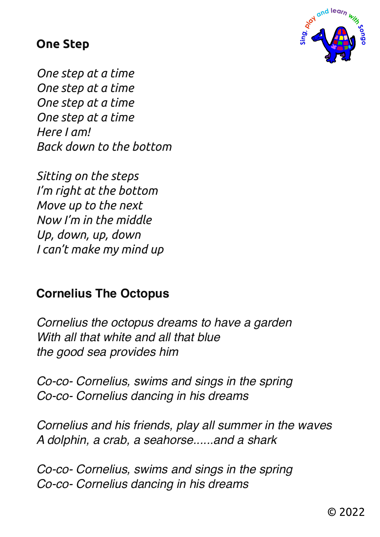#### **One Step**



*One step at a time One step at a time One step at a time One step at a time Here I am! Back down to the bottom* 

*Sitting on the steps I'm right at the bottom Move up to the next Now I'm in the middle Up, down, up, down I can't make my mind up* 

## **Cornelius The Octopus**

*Cornelius the octopus dreams to have a garden With all that white and all that blue the good sea provides him*

*Co-co- Cornelius, swims and sings in the spring Co-co- Cornelius dancing in his dreams*

*Cornelius and his friends, play all summer in the waves A dolphin, a crab, a seahorse......and a shark*

*Co-co- Cornelius, swims and sings in the spring Co-co- Cornelius dancing in his dreams*